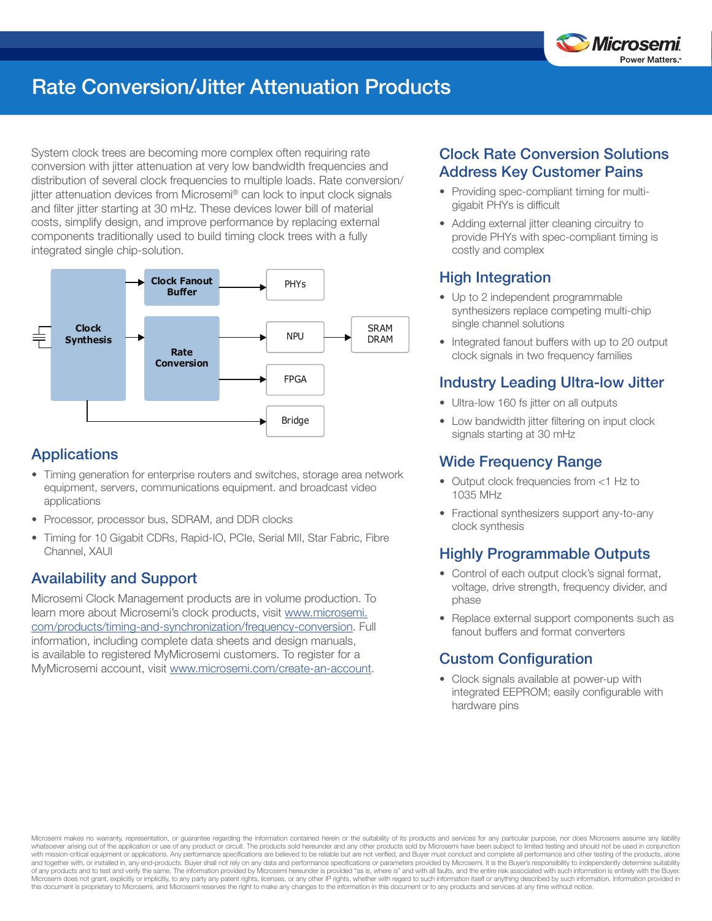

# Rate Conversion/Jitter Attenuation Products

System clock trees are becoming more complex often requiring rate conversion with jitter attenuation at very low bandwidth frequencies and distribution of several clock frequencies to multiple loads. Rate conversion/ jitter attenuation devices from Microsemi® can lock to input clock signals and filter jitter starting at 30 mHz. These devices lower bill of material costs, simplify design, and improve performance by replacing external components traditionally used to build timing clock trees with a fully integrated single chip-solution.



## **Applications**

- Timing generation for enterprise routers and switches, storage area network equipment, servers, communications equipment. and broadcast video applications
- Processor, processor bus, SDRAM, and DDR clocks
- Timing for 10 Gigabit CDRs, Rapid-IO, PCIe, Serial MII, Star Fabric, Fibre Channel, XAUI

# Availability and Support

Microsemi Clock Management products are in volume production. To learn more about Microsemi's clock products, visit [www.microsemi.](http://www.microsemi.com/products/timing-and-synchronization/frequency-conversion) [com/products/timing-and-synchronization/frequency-conversion](http://www.microsemi.com/products/timing-and-synchronization/frequency-conversion). Full information, including complete data sheets and design manuals, is available to registered MyMicrosemi customers. To register for a MyMicrosemi account, visit [www.microsemi.com/create-an-account](http://www.microsemi.com/create-an-account).

### Clock Rate Conversion Solutions Address Key Customer Pains

- Providing spec-compliant timing for multigigabit PHYs is difficult
- Adding external jitter cleaning circuitry to provide PHYs with spec-compliant timing is costly and complex

## High Integration

- Up to 2 independent programmable synthesizers replace competing multi-chip single channel solutions
- Integrated fanout buffers with up to 20 output clock signals in two frequency families

#### Industry Leading Ultra-low Jitter

- Ultra-low 160 fs jitter on all outputs
- Low bandwidth jitter filtering on input clock signals starting at 30 mHz

#### Wide Frequency Range

- Output clock frequencies from <1 Hz to 1035 MHz
- Fractional synthesizers support any-to-any clock synthesis

### Highly Programmable Outputs

- Control of each output clock's signal format, voltage, drive strength, frequency divider, and phase
- Replace external support components such as fanout buffers and format converters

### Custom Configuration

• Clock signals available at power-up with integrated EEPROM; easily configurable with hardware pins

Microsemi makes no warranty, representation, or guarantee regarding the information contained herein or the suitability of its products and services for any particular purpose, nor does Microsemi assume any liability whatsoever arising out of the application or use of any product or circuit. The products sold hereunder and any other products sold by Microsemi have been subject to limited testing and should not be used in conjunction with mission-critical equipment or applications. Any performance specifications are believed to be reliable but are not verified, and Buyer must conduct and complete all performance and other testing of the products, alone of any products and to test and verify the same. The information provided by Microsemi hereunder is provided "as is, where is" and with all faults, and the entire risk associated with such information is entirely with the Microsemi does not grant, explicitly or implicitly, to any party any patent rights, licenses, or any other IP rights, whether with regard to such information itself or anything described by such information. Information pr this document is proprietary to Microsemi, and Microsemi reserves the right to make any changes to the information in this document or to any products and services at any time without notice.